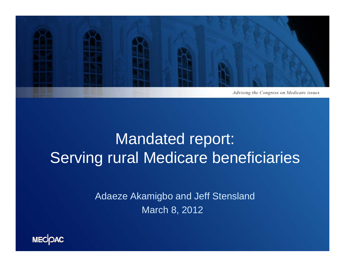

## Mandated report: Serving rural Medicare beneficiaries

Adaeze Akamigbo and Jeff Stensland March 8, 2012

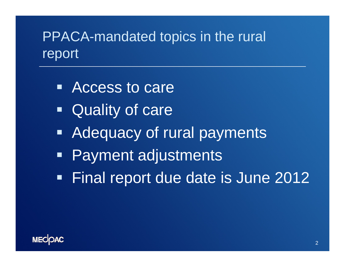#### PPACA-mandated topics in the rural report

- Access to care
- e<br>Ma **Quality of care**
- **Adequacy of rural payments**
- **Payment adjustments**
- Final report due date is June 2012

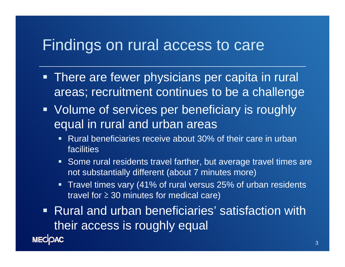#### Findings on rural access to care

- **There are fewer physicians per capita in rural** areas; recruitment continues to be a challenge
- **Volume of services per beneficiary is roughly** equal in rural and urban areas
	- Rural beneficiaries receive about 30% of their care in urban facilities
	- Some rural residents travel farther, but average travel times are not substantially different (about 7 minutes more)
	- Travel times vary (41% of rural versus 25% of urban residents travel for ≥ 30 minutes for medical care)

 Rural and urban beneficiaries' satisfaction with their access is roughly equal

**MECOAC**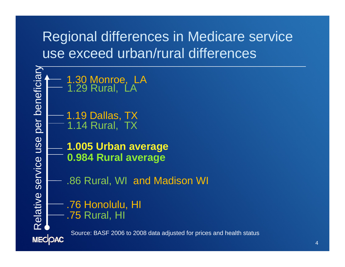### Regional differences in Medicare service use exceed urban/rural differences

Relative Service USBN 0-1.29 Rural, LA<br> **2.29 Rural, LA**<br> **2.30 Monroe, LA**<br> **2.30 Rural, LA**<br> **2.30 Dividing 1.14 Rural, TX**<br> **3.99 Dividing 1.005 Urban average**<br> **0.984 Rural average**<br> **1.26 Rural, WI and Madison WI**<br> **1** 1.30 Monroe, LA<br>1.29 Rural, LA 1.19 Dallas, TX 1.14 Rural, TX Source: BASF 2006 to 2008 data adjusted for prices and health status**MECOAC**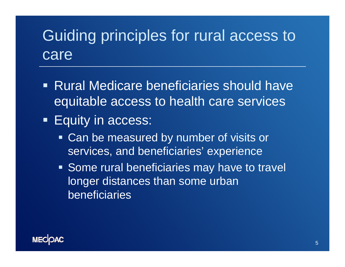# Guiding principles for rural access to care

- Rural Medicare beneficiaries should have equitable access to health care services
- **Equity in access:** 
	- Can be measured by number of visits or services, and beneficiaries' experience
	- **Some rural beneficiaries may have to travel** longer distances than some urban beneficiaries

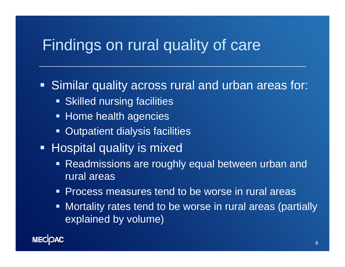#### Findings on rural quality of care

#### Similar quality across rural and urban areas for:

- **Skilled nursing facilities**
- **Example Home health agencies**
- $\blacksquare$ Outpatient dialysis facilities
- **-** Hospital quality is mixed
	- Readmissions are roughly equal between urban and rural areas
	- $\blacksquare$ Process measures tend to be worse in rural areas
	- Mortality rates tend to be worse in rural areas (partially explained by volume)

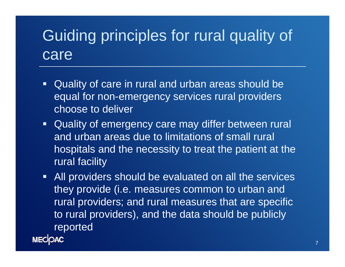# Guiding principles for rural quality of care

- Quality of care in rural and urban areas should be equal for non-emergency services rural providers choose to deliver
- Quality of emergency care may differ between rural and urban areas due to limitations of small rural hospitals and the necessity to treat the patient at the rural facility
- **All providers should be evaluated on all the services** they provide (i.e. measures common to urban and rural providers; and rural measures that are specific to rural providers), and the data should be publicly reported

**MECOAC**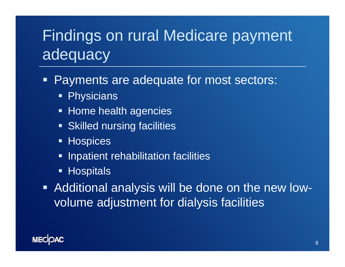# Findings on rural Medicare payment adequacy

Ξ Payments are adequate for most sectors:

- $\blacksquare$ **Physicians**
- **Example Home health agencies**
- **Skilled nursing facilities**
- **Hospices**
- $\blacksquare$ Inpatient rehabilitation facilities
- Hospitals
- Additional analysis will be done on the new lowvolume adjustment for dialysis facilities

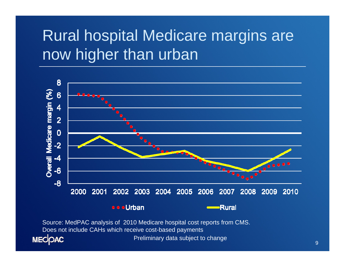# Rural hospital Medicare margins are now higher than urban



Does not include CAHs which receive cost-based payments**MECOAC** 

Preliminary data subject to change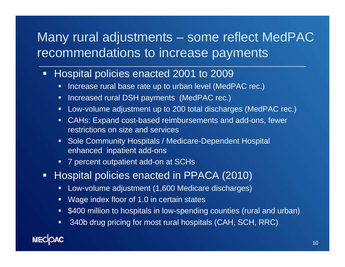#### Many rural adjustments – some reflect MedPAC recommendations to increase payments

- **Hospital policies enacted 2001 to 2009** 
	- $\blacksquare$ Increase rural base rate up to urban level (MedPAC rec.)
	- **Increased rural DSH payments (MedPAC rec.)**
	- Low-volume adjustment up to 200 total discharges (MedPAC rec.)
	- CAHs: Expand cost-based reimbursements and add-ons, fewer restrictions on size and services
	- **Sole Community Hospitals / Medicare-Dependent Hospital** enhanced inpatient add-ons
	- П 7 percent outpatient add-on at SCHs
- $\blacksquare$  Hospital policies enacted in PPACA (2010)
	- $\qquad \qquad \blacksquare$ Low-volume adjustment (1,600 Medicare discharges)
	- Wage index floor of 1.0 in certain states
	- $\blacksquare$ \$400 million to hospitals in low-spending counties (rural and urban)
	- $\blacksquare$ 340b drug pricing for most rural hospitals (CAH, SCH, RRC)

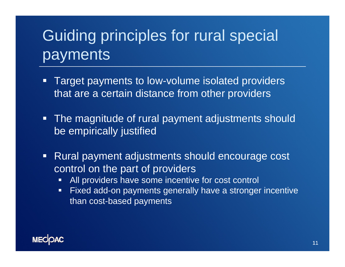# Guiding principles for rural special payments

- $\Box$  Target payments to low-volume isolated providers that are a certain distance from other providers
- **The magnitude of rural payment adjustments should** be empirically justified
- $\Box$  Rural payment adjustments should encourage cost control on the part of providers
	- $\blacksquare$ All providers have some incentive for cost control
	- $\Box$  Fixed add-on payments generally have a stronger incentive than cost-based payments